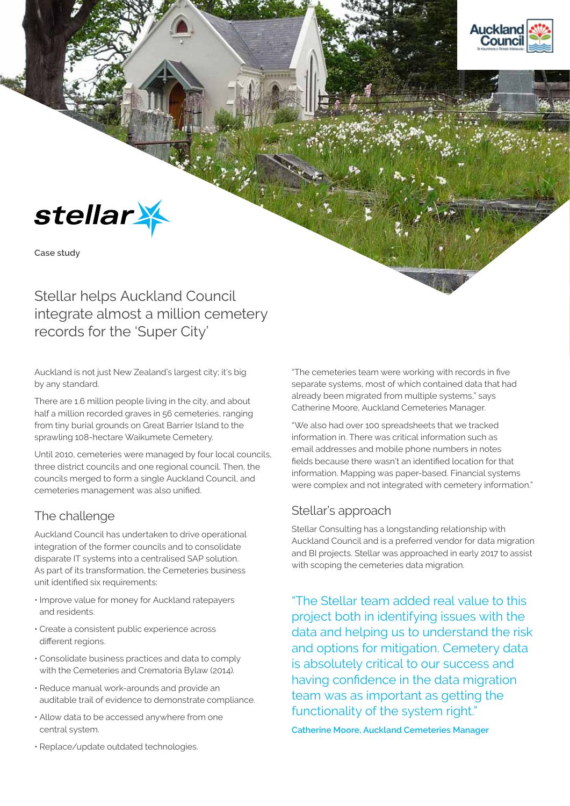



**Case study**

# Stellar helps Auckland Council integrate almost a million cemetery records for the 'Super City'

Auckland is not just New Zealand's largest city; it's big by any standard.

There are 1.6 million people living in the city, and about half a million recorded graves in 56 cemeteries, ranging from tiny burial grounds on Great Barrier Island to the sprawling 108-hectare Waikumete Cemetery.

Until 2010, cemeteries were managed by four local councils, three district councils and one regional council. Then, the councils merged to form a single Auckland Council, and cemeteries management was also unified.

# The challenge

Auckland Council has undertaken to drive operational integration of the former councils and to consolidate disparate IT systems into a centralised SAP solution. As part of its transformation, the Cemeteries business unit identified six requirements:

- Improve value for money for Auckland ratepayers and residents.
- Create a consistent public experience across different regions.
- Consolidate business practices and data to comply with the Cemeteries and Crematoria Bylaw (2014).
- Reduce manual work-arounds and provide an auditable trail of evidence to demonstrate compliance.
- Allow data to be accessed anywhere from one central system.
- Replace/update outdated technologies.

"The cemeteries team were working with records in five separate systems, most of which contained data that had already been migrated from multiple systems," says Catherine Moore, Auckland Cemeteries Manager.

"We also had over 100 spreadsheets that we tracked information in. There was critical information such as email addresses and mobile phone numbers in notes fields because there wasn't an identified location for that information. Mapping was paper-based. Financial systems were complex and not integrated with cemetery information."

### Stellar's approach

Stellar Consulting has a longstanding relationship with Auckland Council and is a preferred vendor for data migration and BI projects. Stellar was approached in early 2017 to assist with scoping the cemeteries data migration.

"The Stellar team added real value to this project both in identifying issues with the data and helping us to understand the risk and options for mitigation. Cemetery data is absolutely critical to our success and having confidence in the data migration team was as important as getting the functionality of the system right."

**Catherine Moore, Auckland Cemeteries Manager**